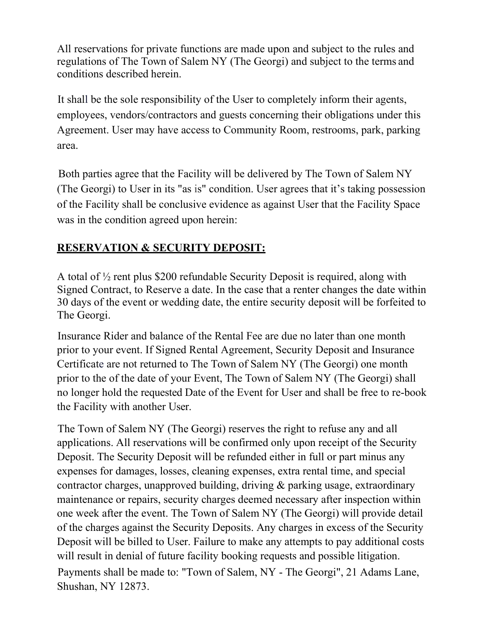All reservations for private functions are made upon and subject to the rules and regulations of The Town of Salem NY (The Georgi) and subject to the terms and conditions described herein.

It shall be the sole responsibility of the User to completely inform their agents, employees, vendors/contractors and guests concerning their obligations under this Agreement. User may have access to Community Room, restrooms, park, parking area.

Both parties agree that the Facility will be delivered by The Town of Salem NY (The Georgi) to User in its "as is" condition. User agrees that it's taking possession of the Facility shall be conclusive evidence as against User that the Facility Space was in the condition agreed upon herein:

# **RESERVATION & SECURITY DEPOSIT:**

A total of ½ rent plus \$200 refundable Security Deposit is required, along with Signed Contract, to Reserve a date. In the case that a renter changes the date within 30 days of the event or wedding date, the entire security deposit will be forfeited to The Georgi.

Insurance Rider and balance of the Rental Fee are due no later than one month prior to your event. If Signed Rental Agreement, Security Deposit and Insurance Certificate are not returned to The Town of Salem NY (The Georgi) one month prior to the of the date of your Event, The Town of Salem NY (The Georgi) shall no longer hold the requested Date of the Event for User and shall be free to re-book the Facility with another User.

The Town of Salem NY (The Georgi) reserves the right to refuse any and all applications. All reservations will be confirmed only upon receipt of the Security Deposit. The Security Deposit will be refunded either in full or part minus any expenses for damages, losses, cleaning expenses, extra rental time, and special contractor charges, unapproved building, driving & parking usage, extraordinary maintenance or repairs, security charges deemed necessary after inspection within one week after the event. The Town of Salem NY (The Georgi) will provide detail of the charges against the Security Deposits. Any charges in excess of the Security Deposit will be billed to User. Failure to make any attempts to pay additional costs will result in denial of future facility booking requests and possible litigation.

Payments shall be made to: "Town of Salem, NY - The Georgi", 21 Adams Lane, Shushan, NY 12873.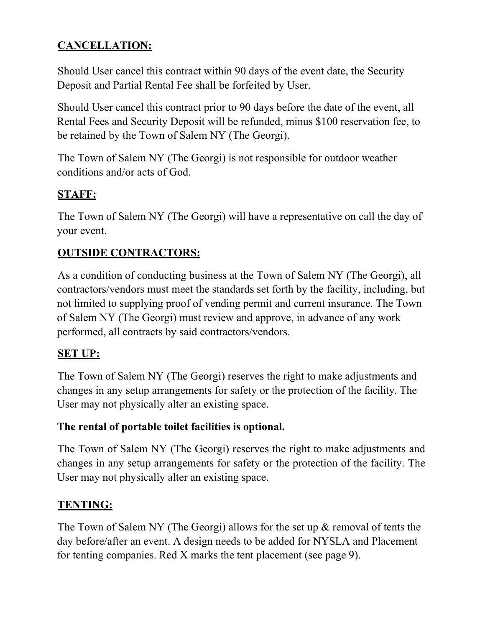# **CANCELLATION:**

Should User cancel this contract within 90 days of the event date, the Security Deposit and Partial Rental Fee shall be forfeited by User.

Should User cancel this contract prior to 90 days before the date of the event, all Rental Fees and Security Deposit will be refunded, minus \$100 reservation fee, to be retained by the Town of Salem NY (The Georgi).

The Town of Salem NY (The Georgi) is not responsible for outdoor weather conditions and/or acts of God.

#### **STAFF:**

The Town of Salem NY (The Georgi) will have a representative on call the day of your event.

## **OUTSIDE CONTRACTORS:**

As a condition of conducting business at the Town of Salem NY (The Georgi), all contractors/vendors must meet the standards set forth by the facility, including, but not limited to supplying proof of vending permit and current insurance. The Town of Salem NY (The Georgi) must review and approve, in advance of any work performed, all contracts by said contractors/vendors.

## **SET UP:**

The Town of Salem NY (The Georgi) reserves the right to make adjustments and changes in any setup arrangements for safety or the protection of the facility. The User may not physically alter an existing space.

#### **The rental of portable toilet facilities is optional.**

The Town of Salem NY (The Georgi) reserves the right to make adjustments and changes in any setup arrangements for safety or the protection of the facility. The User may not physically alter an existing space.

#### **TENTING:**

The Town of Salem NY (The Georgi) allows for the set up & removal of tents the day before/after an event. A design needs to be added for NYSLA and Placement for tenting companies. Red X marks the tent placement (see page 9).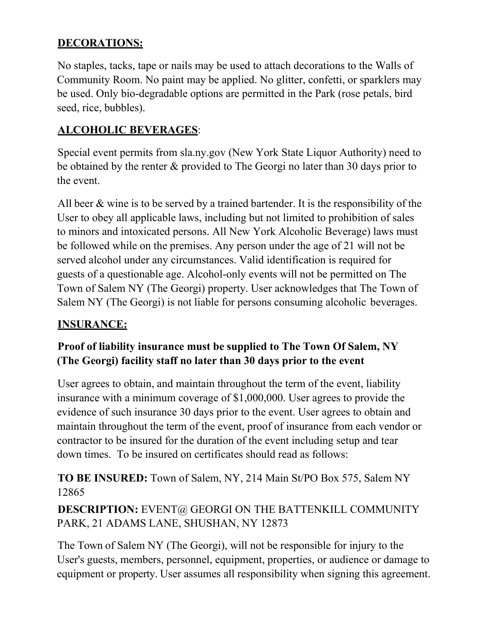## **DECORATIONS:**

No staples, tacks, tape or nails may be used to attach decorations to the Walls of Community Room. No paint may be applied. No glitter, confetti, or sparklers may be used. Only bio-degradable options are permitted in the Park (rose petals, bird seed, rice, bubbles).

## **ALCOHOLIC BEVERAGES**:

Special event permits from sla.ny.gov (New York State Liquor Authority) need to be obtained by the renter & provided to The Georgi no later than 30 days prior to the event.

All beer & wine is to be served by a trained bartender. It is the responsibility of the User to obey all applicable laws, including but not limited to prohibition of sales to minors and intoxicated persons. All New York Alcoholic Beverage) laws must be followed while on the premises. Any person under the age of 21 will not be served alcohol under any circumstances. Valid identification is required for guests of a questionable age. Alcohol-only events will not be permitted on The Town of Salem NY (The Georgi) property. User acknowledges that The Town of Salem NY (The Georgi) is not liable for persons consuming alcoholic beverages.

## **INSURANCE:**

# **Proof of liability insurance must be supplied to The Town Of Salem, NY (The Georgi) facility staff no later than 30 days prior to the event**

User agrees to obtain, and maintain throughout the term of the event, liability insurance with a minimum coverage of \$1,000,000. User agrees to provide the evidence of such insurance 30 days prior to the event. User agrees to obtain and maintain throughout the term of the event, proof of insurance from each vendor or contractor to be insured for the duration of the event including setup and tear down times. To be insured on certificates should read as follows:

**TO BE INSURED:** Town of Salem, NY, 214 Main St/PO Box 575, Salem NY 12865

**DESCRIPTION:** EVENT@ GEORGI ON THE BATTENKILL COMMUNITY PARK, 21 ADAMS LANE, SHUSHAN, NY 12873

The Town of Salem NY (The Georgi), will not be responsible for injury to the User's guests, members, personnel, equipment, properties, or audience or damage to equipment or property. User assumes all responsibility when signing this agreement.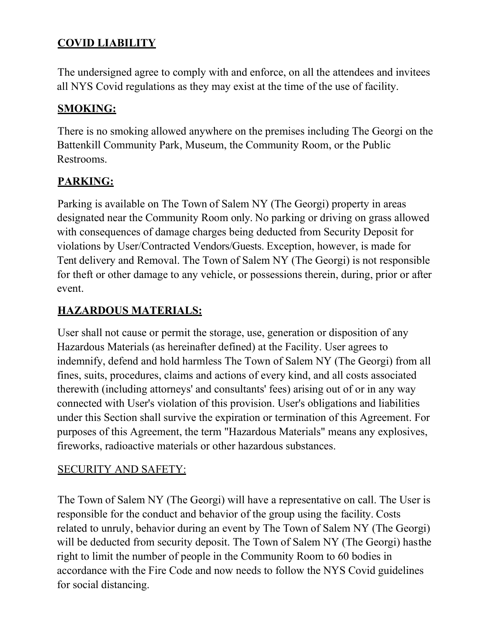# **COVID LIABILITY**

The undersigned agree to comply with and enforce, on all the attendees and invitees all NYS Covid regulations as they may exist at the time of the use of facility.

## **SMOKING:**

There is no smoking allowed anywhere on the premises including The Georgi on the Battenkill Community Park, Museum, the Community Room, or the Public Restrooms.

# **PARKING:**

Parking is available on The Town of Salem NY (The Georgi) property in areas designated near the Community Room only. No parking or driving on grass allowed with consequences of damage charges being deducted from Security Deposit for violations by User/Contracted Vendors/Guests. Exception, however, is made for Tent delivery and Removal. The Town of Salem NY (The Georgi) is not responsible for theft or other damage to any vehicle, or possessions therein, during, prior or after event.

# **HAZARDOUS MATERIALS:**

User shall not cause or permit the storage, use, generation or disposition of any Hazardous Materials (as hereinafter defined) at the Facility. User agrees to indemnify, defend and hold harmless The Town of Salem NY (The Georgi) from all fines, suits, procedures, claims and actions of every kind, and all costs associated therewith (including attorneys' and consultants' fees) arising out of or in any way connected with User's violation of this provision. User's obligations and liabilities under this Section shall survive the expiration or termination of this Agreement. For purposes of this Agreement, the term "Hazardous Materials" means any explosives, fireworks, radioactive materials or other hazardous substances.

#### SECURITY AND SAFETY:

The Town of Salem NY (The Georgi) will have a representative on call. The User is responsible for the conduct and behavior of the group using the facility. Costs related to unruly, behavior during an event by The Town of Salem NY (The Georgi) will be deducted from security deposit. The Town of Salem NY (The Georgi) hasthe right to limit the number of people in the Community Room to 60 bodies in accordance with the Fire Code and now needs to follow the NYS Covid guidelines for social distancing.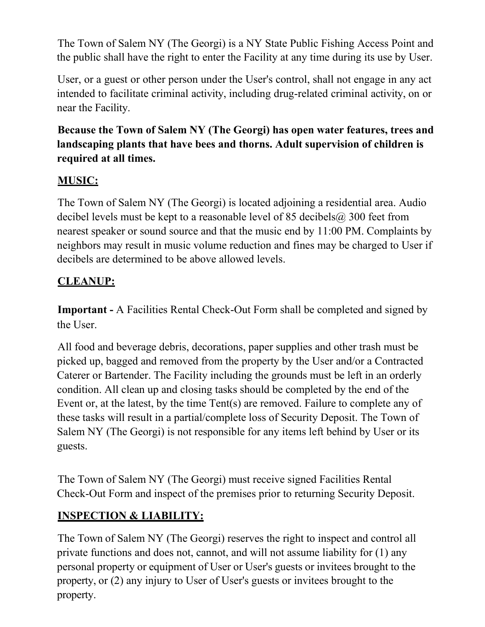The Town of Salem NY (The Georgi) is a NY State Public Fishing Access Point and the public shall have the right to enter the Facility at any time during its use by User.

User, or a guest or other person under the User's control, shall not engage in any act intended to facilitate criminal activity, including drug-related criminal activity, on or near the Facility.

# **Because the Town of Salem NY (The Georgi) has open water features, trees and landscaping plants that have bees and thorns. Adult supervision of children is required at all times.**

# **MUSIC:**

The Town of Salem NY (The Georgi) is located adjoining a residential area. Audio decibel levels must be kept to a reasonable level of 85 decibels  $\omega$  300 feet from nearest speaker or sound source and that the music end by 11:00 PM. Complaints by neighbors may result in music volume reduction and fines may be charged to User if decibels are determined to be above allowed levels.

#### **CLEANUP:**

**Important -** A Facilities Rental Check-Out Form shall be completed and signed by the User.

All food and beverage debris, decorations, paper supplies and other trash must be picked up, bagged and removed from the property by the User and/or a Contracted Caterer or Bartender. The Facility including the grounds must be left in an orderly condition. All clean up and closing tasks should be completed by the end of the Event or, at the latest, by the time Tent(s) are removed. Failure to complete any of these tasks will result in a partial/complete loss of Security Deposit. The Town of Salem NY (The Georgi) is not responsible for any items left behind by User or its guests.

The Town of Salem NY (The Georgi) must receive signed Facilities Rental Check-Out Form and inspect of the premises prior to returning Security Deposit.

## **INSPECTION & LIABILITY:**

The Town of Salem NY (The Georgi) reserves the right to inspect and control all private functions and does not, cannot, and will not assume liability for (1) any personal property or equipment of User or User's guests or invitees brought to the property, or (2) any injury to User of User's guests or invitees brought to the property.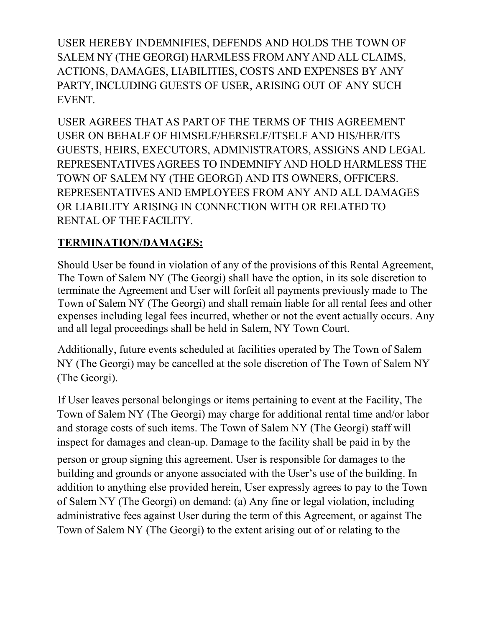USER HEREBY INDEMNIFIES, DEFENDS AND HOLDS THE TOWN OF SALEM NY (THE GEORGI) HARMLESS FROM ANYAND ALL CLAIMS, ACTIONS, DAMAGES, LIABILITIES, COSTS AND EXPENSES BY ANY PARTY, INCLUDING GUESTS OF USER, ARISING OUT OF ANY SUCH EVENT.

USER AGREES THAT AS PART OF THE TERMS OF THIS AGREEMENT USER ON BEHALF OF HIMSELF/HERSELF/ITSELF AND HIS/HER/ITS GUESTS, HEIRS, EXECUTORS, ADMINISTRATORS, ASSIGNS AND LEGAL REPRESENTATIVESAGREES TO INDEMNIFY AND HOLD HARMLESS THE TOWN OF SALEM NY (THE GEORGI) AND ITS OWNERS, OFFICERS. REPRESENTATIVES AND EMPLOYEES FROM ANY AND ALL DAMAGES OR LIABILITY ARISING IN CONNECTION WITH OR RELATED TO RENTAL OF THE FACILITY.

# **TERMINATION/DAMAGES:**

Should User be found in violation of any of the provisions of this Rental Agreement, The Town of Salem NY (The Georgi) shall have the option, in its sole discretion to terminate the Agreement and User will forfeit all payments previously made to The Town of Salem NY (The Georgi) and shall remain liable for all rental fees and other expenses including legal fees incurred, whether or not the event actually occurs. Any and all legal proceedings shall be held in Salem, NY Town Court.

Additionally, future events scheduled at facilities operated by The Town of Salem NY (The Georgi) may be cancelled at the sole discretion of The Town of Salem NY (The Georgi).

If User leaves personal belongings or items pertaining to event at the Facility, The Town of Salem NY (The Georgi) may charge for additional rental time and/or labor and storage costs of such items. The Town of Salem NY (The Georgi) staff will inspect for damages and clean-up. Damage to the facility shall be paid in by the person or group signing this agreement. User is responsible for damages to the building and grounds or anyone associated with the User's use of the building. In addition to anything else provided herein, User expressly agrees to pay to the Town of Salem NY (The Georgi) on demand: (a) Any fine or legal violation, including administrative fees against User during the term of this Agreement, or against The Town of Salem NY (The Georgi) to the extent arising out of or relating to the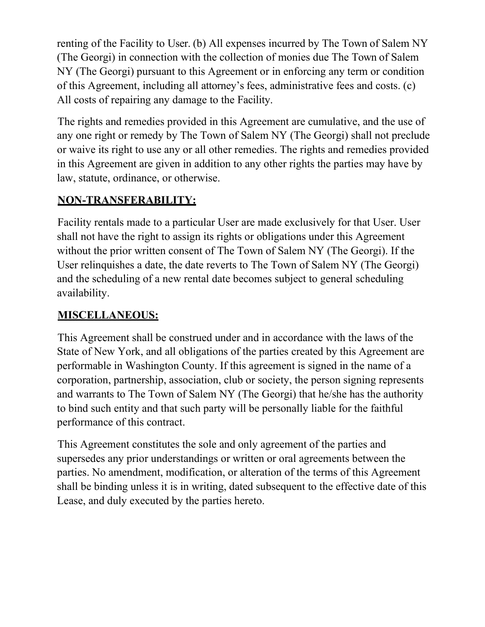renting of the Facility to User. (b) All expenses incurred by The Town of Salem NY (The Georgi) in connection with the collection of monies due The Town of Salem NY (The Georgi) pursuant to this Agreement or in enforcing any term or condition of this Agreement, including all attorney's fees, administrative fees and costs. (c) All costs of repairing any damage to the Facility.

The rights and remedies provided in this Agreement are cumulative, and the use of any one right or remedy by The Town of Salem NY (The Georgi) shall not preclude or waive its right to use any or all other remedies. The rights and remedies provided in this Agreement are given in addition to any other rights the parties may have by law, statute, ordinance, or otherwise.

# **NON-TRANSFERABILITY:**

Facility rentals made to a particular User are made exclusively for that User. User shall not have the right to assign its rights or obligations under this Agreement without the prior written consent of The Town of Salem NY (The Georgi). If the User relinquishes a date, the date reverts to The Town of Salem NY (The Georgi) and the scheduling of a new rental date becomes subject to general scheduling availability.

## **MISCELLANEOUS:**

This Agreement shall be construed under and in accordance with the laws of the State of New York, and all obligations of the parties created by this Agreement are performable in Washington County. If this agreement is signed in the name of a corporation, partnership, association, club or society, the person signing represents and warrants to The Town of Salem NY (The Georgi) that he/she has the authority to bind such entity and that such party will be personally liable for the faithful performance of this contract.

This Agreement constitutes the sole and only agreement of the parties and supersedes any prior understandings or written or oral agreements between the parties. No amendment, modification, or alteration of the terms of this Agreement shall be binding unless it is in writing, dated subsequent to the effective date of this Lease, and duly executed by the parties hereto.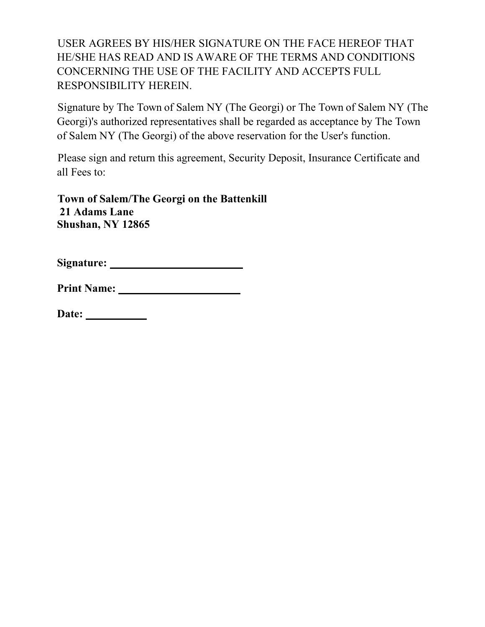USER AGREES BY HIS/HER SIGNATURE ON THE FACE HEREOF THAT HE/SHE HAS READ AND IS AWARE OF THE TERMS AND CONDITIONS CONCERNING THE USE OF THE FACILITY AND ACCEPTS FULL RESPONSIBILITY HEREIN.

Signature by The Town of Salem NY (The Georgi) or The Town of Salem NY (The Georgi)'s authorized representatives shall be regarded as acceptance by The Town of Salem NY (The Georgi) of the above reservation for the User's function.

Please sign and return this agreement, Security Deposit, Insurance Certificate and all Fees to:

**Town of Salem/The Georgi on the Battenkill 21 Adams Lane Shushan, NY 12865**

| <b>Print Name:</b> |  |
|--------------------|--|
|--------------------|--|

| Date: |  |
|-------|--|
|       |  |